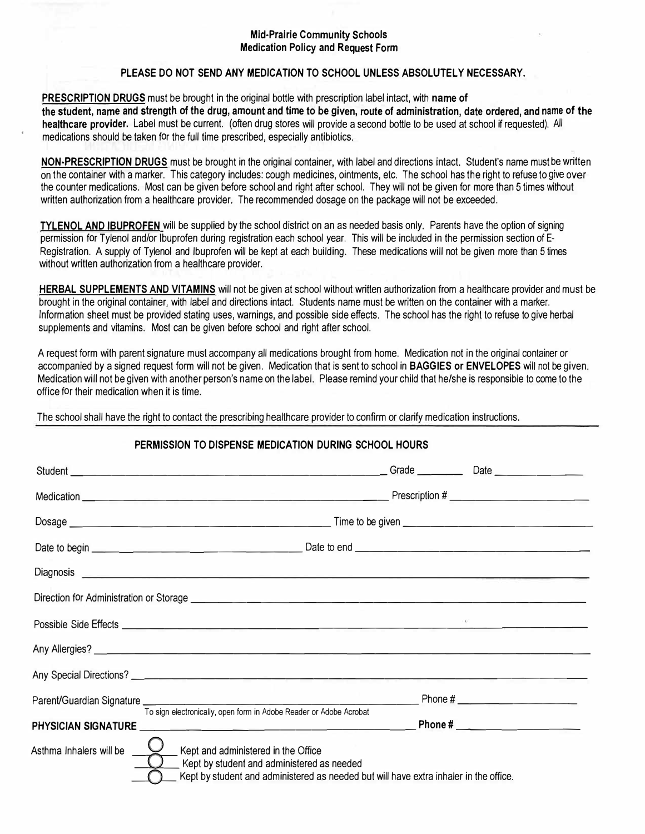#### **Mid-Prairie Community Schools Medication Policy and Request Form**

#### **PLEASE DO NOT SEND ANY MEDICATION TO SCHOOL UNLESS ABSOLUTELY NECESSARY.**

**PRESCRIPTION DRUGS** must be brought in the original bottle with prescription label intact, with **name of the student, name and strength of the drug, amount and time to be given, route of administration, date ordered, and name of the healthcare provider.** Label must be current. (often drug stores will provide a second bottle to be used at school if requested). All medications should be taken for the full time prescribed, especially antibiotics.

**NON-PRESCRIPTION DRUGS** must be brought in the original container, with label and directions intact. Student's name must be written on the container with a marker. This category includes: cough medicines, ointments, etc. The school has the right to refuse to give over the counter medications. Most can be given before school and right after school. They will not be given for more than 5 times without written authorization from a healthcare provider. The recommended dosage on the package will not be exceeded.

**TYLENOL AND IBUPROFEN** will be supplied by the school district on an as needed basis only. Parents have the option of signing permission for Tylenol and/or Ibuprofen during registration each school year. This will be included in the permission section of E-Registration. A supply of Tylenol and Ibuprofen will be kept at each building. These medications will not be given more than 5 times without written authorization from a healthcare provider.

**HERBAL SUPPLEMENTS AND VITAMINS** will not be given at school without written authorization from a healthcare provider and must be brought in the original container, with label and directions intact. Students name must be written on the container with a marker. Information sheet must be provided stating uses, warnings, and possible side effects. The school has the right to refuse to give herbal supplements and vitamins. Most can be given before school and right after school.

A request form with parent signature must accompany all medications brought from home. Medication not in the original container or accompanied by a signed request form will not be given. Medication that is sent to school in **BAGGIES or ENVELOPES** will not be given. Medication will not be given with another person's name on the label. Please remind your child that he/she is responsible to come to the office for their medication when it is time.

The school shall have the right to contact the prescribing healthcare provider to confirm or clarify medication instructions.

| PERMISSION TO DISPENSE MEDICATION DURING SCHOOL HOURS |                                                                                                                                                                                                               |  |  |  |  |  |
|-------------------------------------------------------|---------------------------------------------------------------------------------------------------------------------------------------------------------------------------------------------------------------|--|--|--|--|--|
|                                                       |                                                                                                                                                                                                               |  |  |  |  |  |
|                                                       |                                                                                                                                                                                                               |  |  |  |  |  |
|                                                       |                                                                                                                                                                                                               |  |  |  |  |  |
|                                                       |                                                                                                                                                                                                               |  |  |  |  |  |
|                                                       |                                                                                                                                                                                                               |  |  |  |  |  |
|                                                       |                                                                                                                                                                                                               |  |  |  |  |  |
|                                                       |                                                                                                                                                                                                               |  |  |  |  |  |
|                                                       |                                                                                                                                                                                                               |  |  |  |  |  |
|                                                       |                                                                                                                                                                                                               |  |  |  |  |  |
|                                                       |                                                                                                                                                                                                               |  |  |  |  |  |
| PHYSICIAN SIGNATURE                                   | To sign electronically, open form in Adobe Reader or Adobe Acrobat                                                                                                                                            |  |  |  |  |  |
|                                                       | Asthma Inhalers will be $\sqrt{ }$ Kept and administered in the Office<br>Kept by student and administered as needed<br>Kept by student and administered as needed but will have extra inhaler in the office. |  |  |  |  |  |

### **PERMISSION TO DISPENSE MEDICATION DURING SCHOOL HOURS**